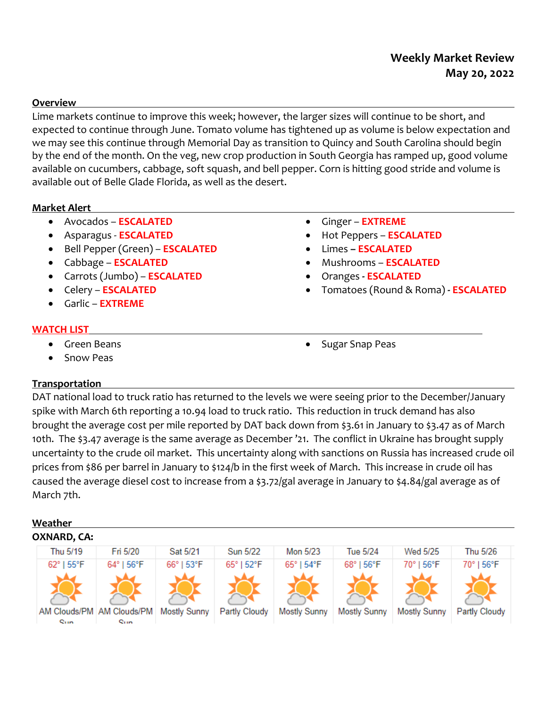# **Weekly Market Review May 20, 2022**

### **Overview**

Lime markets continue to improve this week; however, the larger sizes will continue to be short, and expected to continue through June. Tomato volume has tightened up as volume is below expectation and we may see this continue through Memorial Day as transition to Quincy and South Carolina should begin by the end of the month. On the veg, new crop production in South Georgia has ramped up, good volume available on cucumbers, cabbage, soft squash, and bell pepper. Corn is hitting good stride and volume is available out of Belle Glade Florida, as well as the desert.

### **Market Alert**

- Avocados **ESCALATED**
- Asparagus **ESCALATED**
- Bell Pepper (Green) **ESCALATED**
- Cabbage **ESCALATED**
- Carrots (Jumbo) **ESCALATED**
- Celery **ESCALATED**
- Garlic **EXTREME**

#### **WATCH LIST**

- Green Beans
- Snow Peas

# **Transportation**

DAT national load to truck ratio has returned to the levels we were seeing prior to the December/January spike with March 6th reporting a 10.94 load to truck ratio. This reduction in truck demand has also brought the average cost per mile reported by DAT back down from \$3.61 in January to \$3.47 as of March 10th. The \$3.47 average is the same average as December '21. The conflict in Ukraine has brought supply uncertainty to the crude oil market. This uncertainty along with sanctions on Russia has increased crude oil prices from \$86 per barrel in January to \$124/b in the first week of March. This increase in crude oil has caused the average diesel cost to increase from a \$3.72/gal average in January to \$4.84/gal average as of March 7th.

### **Weather**



- Ginger **EXTREME**
- Hot Peppers **ESCALATED**
- Limes **– ESCALATED**
- Mushrooms **ESCALATED**
- Oranges **- ESCALATED**

Sugar Snap Peas

Tomatoes (Round & Roma) **- ESCALATED**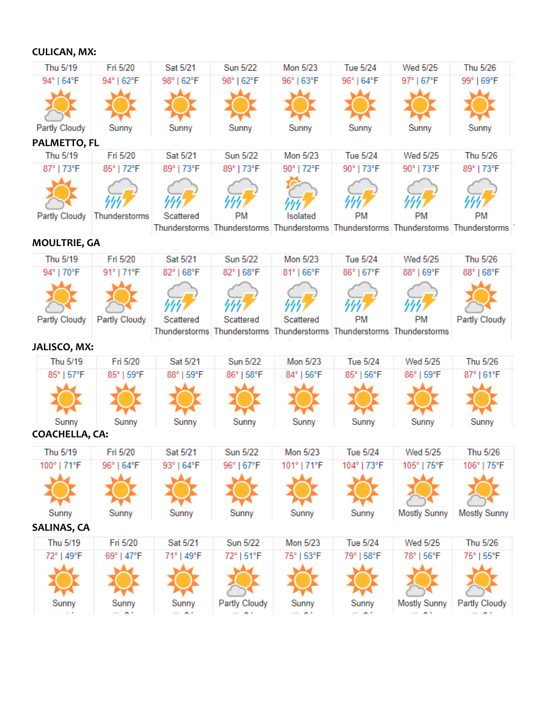**CULICAN, MX:** 

| Thu 5/19                     | Fri 5/20               | Sat 5/21                       | <b>Sun 5/22</b>          | Mon 5/23                                                                            | <b>Tue 5/24</b>        | Wed 5/25                             | Thu 5/26                 |
|------------------------------|------------------------|--------------------------------|--------------------------|-------------------------------------------------------------------------------------|------------------------|--------------------------------------|--------------------------|
| 94°   64°F                   | 94°   62°F             | 98°   62°F                     | 98°   62°F               | 96°   63°F                                                                          | 96°   64°F             | 97°   67°F                           | 99°169°F                 |
|                              |                        |                                |                          |                                                                                     |                        |                                      |                          |
| <b>Partly Cloudy</b>         | Sunny                  | Sunny                          | Sunny                    | Sunny                                                                               | Sunny                  | Sunny                                | Sunny                    |
| PALMETTO, FL                 |                        |                                |                          |                                                                                     |                        |                                      |                          |
| Thu 5/19                     | Fri 5/20               | Sat 5/21                       | <b>Sun 5/22</b>          | Mon 5/23                                                                            | <b>Tue 5/24</b>        | Wed 5/25                             | Thu 5/26                 |
| 87°   73°F                   | 85°   72°F             | 89°   73°F                     | 89°   73°F               | 90°   72°F                                                                          | 90°   73°F             | 90°   73°F                           | 89°   73°F               |
| Partly Cloudy                | Thunderstorms          | Scattered                      | <b>PM</b>                | Isolated                                                                            | <b>PM</b>              | PM                                   | <b>PM</b>                |
|                              |                        |                                |                          | Thunderstorms Thunderstorms Thunderstorms Thunderstorms Thunderstorms Thunderstorms |                        |                                      |                          |
| <b>MOULTRIE, GA</b>          |                        |                                |                          |                                                                                     |                        |                                      |                          |
| Thu 5/19                     | Fri 5/20               | Sat 5/21                       | <b>Sun 5/22</b>          | Mon 5/23                                                                            | <b>Tue 5/24</b>        | Wed 5/25                             | Thu 5/26                 |
| 94°   70°F                   | 91°   71°F             | 82°   68°F                     | 82°   68°F               | 81°   66°F                                                                          | 86°   67°F             | 88°   69°F                           | 88°   68°F               |
|                              |                        |                                |                          |                                                                                     |                        |                                      |                          |
| Partly Cloudy                | Partly Cloudy          | Scattered                      | Scattered                | Scattered<br>Thunderstorms Thunderstorms Thunderstorms Thunderstorms Thunderstorms  | РM                     | <b>PM</b>                            | Partly Cloudy            |
| JALISCO, MX:                 |                        |                                |                          |                                                                                     |                        |                                      |                          |
| Thu 5/19                     | Fri 5/20               | Sat 5/21                       | <b>Sun 5/22</b>          | Mon 5/23                                                                            | Tue 5/24               | Wed 5/25                             | Thu 5/26                 |
| 85°   57°F                   | 85°   59°F             | 88°   59°F                     | 86°   58°F               | 84°   56°F                                                                          | 85°   56°F             | 86°   59°F                           | 87°   61°F               |
|                              |                        |                                |                          |                                                                                     |                        |                                      |                          |
| Sunny                        | Sunny                  | Sunny                          | Sunny                    | Sunny                                                                               | Sunny                  | Sunny                                | Sunny                    |
| <b>COACHELLA, CA:</b>        |                        |                                |                          |                                                                                     |                        |                                      |                          |
| Thu 5/19                     | Fri 5/20               | Sat 5/21                       | <b>Sun 5/22</b>          | Mon 5/23                                                                            | <b>Tue 5/24</b>        | Wed 5/25                             | Thu 5/26                 |
| 100°   71°F                  | 96°   64°F             | $93^{\circ}$   64 $^{\circ}$ F | 96°   67°F               | 101°   71°F                                                                         | 104°   73°F            | 105°   75°F                          | 106°   75°F              |
|                              |                        |                                |                          |                                                                                     |                        |                                      |                          |
| Sunny                        | Sunny                  | Sunny                          | Sunny                    | Sunny                                                                               | Sunny                  | <b>Mostly Sunny</b>                  | <b>Mostly Sunny</b>      |
| <b>SALINAS, CA</b>           |                        |                                |                          |                                                                                     |                        |                                      |                          |
| Thu 5/19                     | Fri 5/20               | Sat 5/21                       | <b>Sun 5/22</b>          | Mon 5/23                                                                            | Tue 5/24               | Wed 5/25                             | Thu 5/26                 |
| 72°   49°F                   | 69°   47°F             | 71°   49°F                     | 72°   51°F               | 75°   53°F                                                                          | 79°   58°F             | 78°   56°F                           | 75°   55°F               |
|                              |                        |                                |                          |                                                                                     |                        |                                      |                          |
| Sunny<br>$\sigma_{\rm{c}}$ . | Sunny<br>$\sim$ $\sim$ | Sunny<br>$  -$                 | Partly Cloudy<br>$=$ $-$ | Sunny<br>$=$ $n +$                                                                  | Sunny<br>$\sim$ $\sim$ | <b>Mostly Sunny</b><br>$\sim$ $\sim$ | Partly Cloudy<br>$=$ $-$ |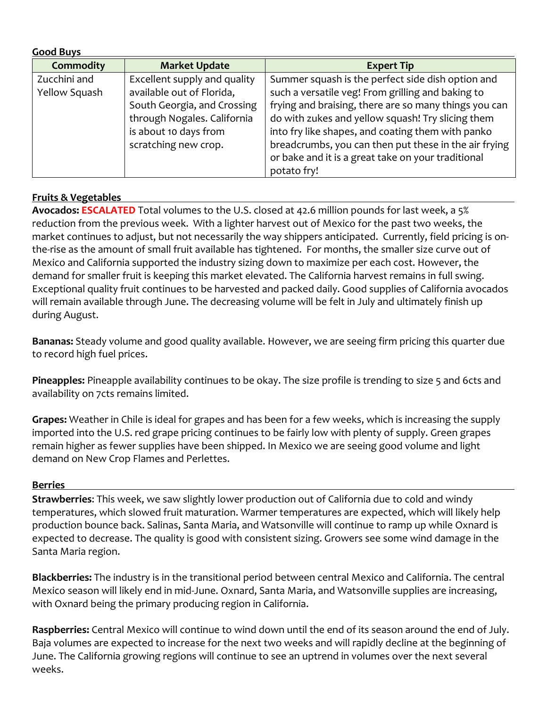| <b>Good Buys</b> |                              |                                                       |
|------------------|------------------------------|-------------------------------------------------------|
| <b>Commodity</b> | <b>Market Update</b>         | <b>Expert Tip</b>                                     |
| Zucchini and     | Excellent supply and quality | Summer squash is the perfect side dish option and     |
| Yellow Squash    | available out of Florida,    | such a versatile veg! From grilling and baking to     |
|                  | South Georgia, and Crossing  | frying and braising, there are so many things you can |
|                  | through Nogales. California  | do with zukes and yellow squash! Try slicing them     |
|                  | is about 10 days from        | into fry like shapes, and coating them with panko     |
|                  | scratching new crop.         | breadcrumbs, you can then put these in the air frying |
|                  |                              | or bake and it is a great take on your traditional    |
|                  |                              | potato fry!                                           |

# **Fruits & Vegetables**

**Avocados: ESCALATED** Total volumes to the U.S. closed at 42.6 million pounds for last week, a 5% reduction from the previous week. With a lighter harvest out of Mexico for the past two weeks, the market continues to adjust, but not necessarily the way shippers anticipated. Currently, field pricing is onthe-rise as the amount of small fruit available has tightened. For months, the smaller size curve out of Mexico and California supported the industry sizing down to maximize per each cost. However, the demand for smaller fruit is keeping this market elevated. The California harvest remains in full swing. Exceptional quality fruit continues to be harvested and packed daily. Good supplies of California avocados will remain available through June. The decreasing volume will be felt in July and ultimately finish up during August.

**Bananas:** Steady volume and good quality available. However, we are seeing firm pricing this quarter due to record high fuel prices.

**Pineapples:** Pineapple availability continues to be okay. The size profile is trending to size 5 and 6cts and availability on 7cts remains limited.

**Grapes:** Weather in Chile is ideal for grapes and has been for a few weeks, which is increasing the supply imported into the U.S. red grape pricing continues to be fairly low with plenty of supply. Green grapes remain higher as fewer supplies have been shipped. In Mexico we are seeing good volume and light demand on New Crop Flames and Perlettes.

# **Berries**

**Strawberries**: This week, we saw slightly lower production out of California due to cold and windy temperatures, which slowed fruit maturation. Warmer temperatures are expected, which will likely help production bounce back. Salinas, Santa Maria, and Watsonville will continue to ramp up while Oxnard is expected to decrease. The quality is good with consistent sizing. Growers see some wind damage in the Santa Maria region.

**Blackberries:** The industry is in the transitional period between central Mexico and California. The central Mexico season will likely end in mid-June. Oxnard, Santa Maria, and Watsonville supplies are increasing, with Oxnard being the primary producing region in California.

**Raspberries:** Central Mexico will continue to wind down until the end of its season around the end of July. Baja volumes are expected to increase for the next two weeks and will rapidly decline at the beginning of June. The California growing regions will continue to see an uptrend in volumes over the next several weeks.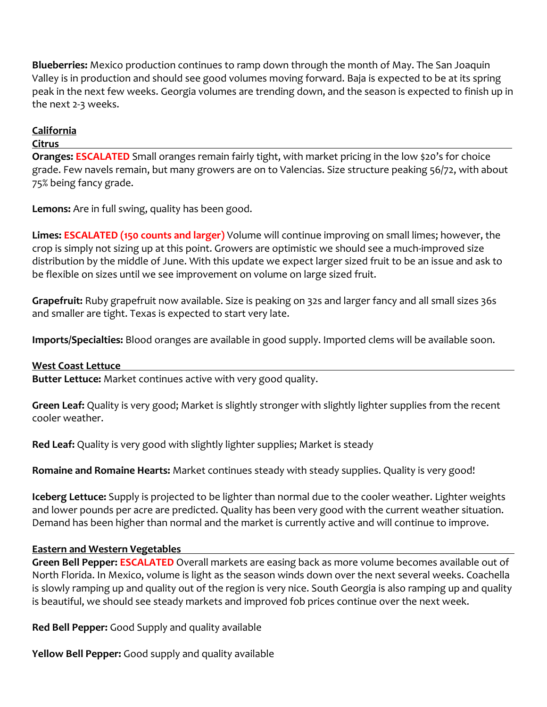**Blueberries:** Mexico production continues to ramp down through the month of May. The San Joaquin Valley is in production and should see good volumes moving forward. Baja is expected to be at its spring peak in the next few weeks. Georgia volumes are trending down, and the season is expected to finish up in the next 2-3 weeks.

# **California**

# **Citrus**

**Oranges: ESCALATED** Small oranges remain fairly tight, with market pricing in the low \$20's for choice grade. Few navels remain, but many growers are on to Valencias. Size structure peaking 56/72, with about 75% being fancy grade.

**Lemons:** Are in full swing, quality has been good.

**Limes: ESCALATED (150 counts and larger)** Volume will continue improving on small limes; however, the crop is simply not sizing up at this point. Growers are optimistic we should see a much-improved size distribution by the middle of June. With this update we expect larger sized fruit to be an issue and ask to be flexible on sizes until we see improvement on volume on large sized fruit.

**Grapefruit:** Ruby grapefruit now available. Size is peaking on 32s and larger fancy and all small sizes 36s and smaller are tight. Texas is expected to start very late.

**Imports/Specialties:** Blood oranges are available in good supply. Imported clems will be available soon.

# **West Coast Lettuce**

**Butter Lettuce:** Market continues active with very good quality.

**Green Leaf:** Quality is very good; Market is slightly stronger with slightly lighter supplies from the recent cooler weather.

**Red Leaf:** Quality is very good with slightly lighter supplies; Market is steady

**Romaine and Romaine Hearts:** Market continues steady with steady supplies. Quality is very good!

**Iceberg Lettuce:** Supply is projected to be lighter than normal due to the cooler weather. Lighter weights and lower pounds per acre are predicted. Quality has been very good with the current weather situation. Demand has been higher than normal and the market is currently active and will continue to improve.

# **Eastern and Western Vegetables**

**Green Bell Pepper: ESCALATED** Overall markets are easing back as more volume becomes available out of North Florida. In Mexico, volume is light as the season winds down over the next several weeks. Coachella is slowly ramping up and quality out of the region is very nice. South Georgia is also ramping up and quality is beautiful, we should see steady markets and improved fob prices continue over the next week.

**Red Bell Pepper:** Good Supply and quality available

**Yellow Bell Pepper:** Good supply and quality available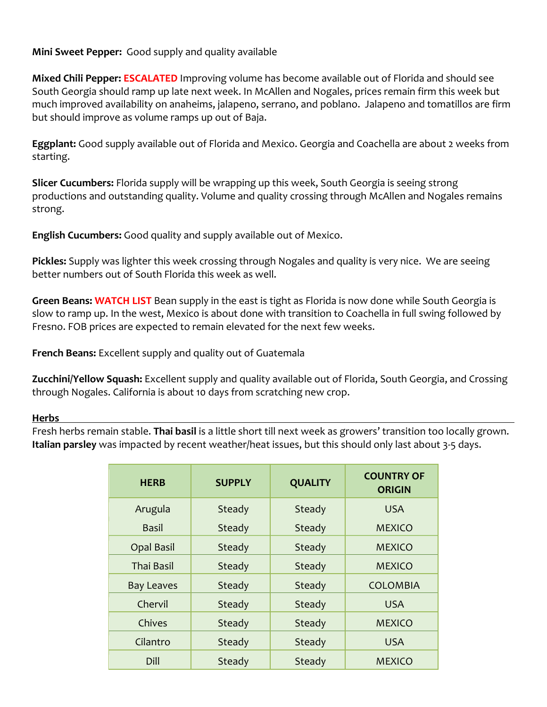# **Mini Sweet Pepper:** Good supply and quality available

**Mixed Chili Pepper: ESCALATED** Improving volume has become available out of Florida and should see South Georgia should ramp up late next week. In McAllen and Nogales, prices remain firm this week but much improved availability on anaheims, jalapeno, serrano, and poblano. Jalapeno and tomatillos are firm but should improve as volume ramps up out of Baja.

**Eggplant:** Good supply available out of Florida and Mexico. Georgia and Coachella are about 2 weeks from starting.

**Slicer Cucumbers:** Florida supply will be wrapping up this week, South Georgia is seeing strong productions and outstanding quality. Volume and quality crossing through McAllen and Nogales remains strong.

**English Cucumbers:** Good quality and supply available out of Mexico.

**Pickles:** Supply was lighter this week crossing through Nogales and quality is very nice. We are seeing better numbers out of South Florida this week as well.

**Green Beans: WATCH LIST** Bean supply in the east is tight as Florida is now done while South Georgia is slow to ramp up. In the west, Mexico is about done with transition to Coachella in full swing followed by Fresno. FOB prices are expected to remain elevated for the next few weeks.

**French Beans:** Excellent supply and quality out of Guatemala

**Zucchini/Yellow Squash:** Excellent supply and quality available out of Florida, South Georgia, and Crossing through Nogales. California is about 10 days from scratching new crop.

### **Herbs**

Fresh herbs remain stable. **Thai basil** is a little short till next week as growers' transition too locally grown. **Italian parsley** was impacted by recent weather/heat issues, but this should only last about 3-5 days.

| <b>HERB</b>       | <b>SUPPLY</b> | <b>QUALITY</b> | <b>COUNTRY OF</b><br><b>ORIGIN</b> |
|-------------------|---------------|----------------|------------------------------------|
| Arugula           | Steady        | Steady         | <b>USA</b>                         |
| Basil             | Steady        | Steady         | <b>MEXICO</b>                      |
| <b>Opal Basil</b> | Steady        | Steady         | <b>MEXICO</b>                      |
| Thai Basil        | Steady        | Steady         | <b>MEXICO</b>                      |
| <b>Bay Leaves</b> | Steady        | Steady         | <b>COLOMBIA</b>                    |
| Chervil           | Steady        | Steady         | <b>USA</b>                         |
| Chives            | Steady        | Steady         | <b>MEXICO</b>                      |
| Cilantro          | Steady        | Steady         | <b>USA</b>                         |
| Dill              | Steady        | Steady         | <b>MEXICO</b>                      |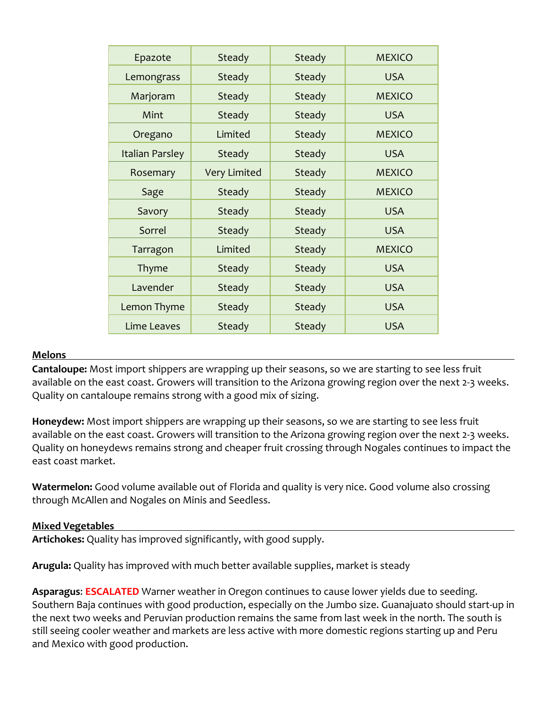| Epazote                | Steady              | Steady        | <b>MEXICO</b> |
|------------------------|---------------------|---------------|---------------|
| Lemongrass             | Steady              | Steady        | <b>USA</b>    |
| Marjoram               | Steady              | Steady        | <b>MEXICO</b> |
| Mint                   | Steady              | <b>Steady</b> | <b>USA</b>    |
| Oregano                | Limited             | Steady        | <b>MEXICO</b> |
| <b>Italian Parsley</b> | Steady              | Steady        | <b>USA</b>    |
| Rosemary               | <b>Very Limited</b> | <b>Steady</b> | <b>MEXICO</b> |
| Sage                   | Steady              | Steady        | <b>MEXICO</b> |
| Savory                 | Steady              | Steady        | <b>USA</b>    |
| Sorrel                 | Steady              | Steady        | <b>USA</b>    |
| Tarragon               | Limited             | Steady        | <b>MEXICO</b> |
| Thyme                  | Steady              | Steady        | <b>USA</b>    |
| Lavender               | Steady              | Steady        | <b>USA</b>    |
| Lemon Thyme            | Steady              | Steady        | <b>USA</b>    |
| Lime Leaves            | Steady              | Steady        | <b>USA</b>    |

### **Melons**

**Cantaloupe:** Most import shippers are wrapping up their seasons, so we are starting to see less fruit available on the east coast. Growers will transition to the Arizona growing region over the next 2-3 weeks. Quality on cantaloupe remains strong with a good mix of sizing.

**Honeydew:** Most import shippers are wrapping up their seasons, so we are starting to see less fruit available on the east coast. Growers will transition to the Arizona growing region over the next 2-3 weeks. Quality on honeydews remains strong and cheaper fruit crossing through Nogales continues to impact the east coast market.

**Watermelon:** Good volume available out of Florida and quality is very nice. Good volume also crossing through McAllen and Nogales on Minis and Seedless.

# **Mixed Vegetables**

**Artichokes:** Quality has improved significantly, with good supply.

**Arugula:** Quality has improved with much better available supplies, market is steady

**Asparagus**: **ESCALATED** Warner weather in Oregon continues to cause lower yields due to seeding. Southern Baja continues with good production, especially on the Jumbo size. Guanajuato should start-up in the next two weeks and Peruvian production remains the same from last week in the north. The south is still seeing cooler weather and markets are less active with more domestic regions starting up and Peru and Mexico with good production.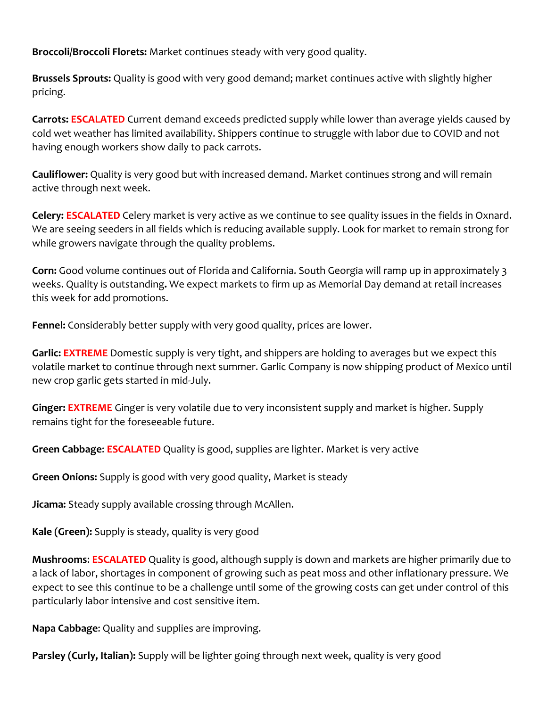**Broccoli/Broccoli Florets:** Market continues steady with very good quality.

**Brussels Sprouts:** Quality is good with very good demand; market continues active with slightly higher pricing.

**Carrots: ESCALATED** Current demand exceeds predicted supply while lower than average yields caused by cold wet weather has limited availability. Shippers continue to struggle with labor due to COVID and not having enough workers show daily to pack carrots.

**Cauliflower:** Quality is very good but with increased demand. Market continues strong and will remain active through next week.

**Celery: ESCALATED** Celery market is very active as we continue to see quality issues in the fields in Oxnard. We are seeing seeders in all fields which is reducing available supply. Look for market to remain strong for while growers navigate through the quality problems.

**Corn:** Good volume continues out of Florida and California. South Georgia will ramp up in approximately 3 weeks. Quality is outstanding**.** We expect markets to firm up as Memorial Day demand at retail increases this week for add promotions.

**Fennel:** Considerably better supply with very good quality, prices are lower.

**Garlic: EXTREME** Domestic supply is very tight, and shippers are holding to averages but we expect this volatile market to continue through next summer. Garlic Company is now shipping product of Mexico until new crop garlic gets started in mid-July.

**Ginger: EXTREME** Ginger is very volatile due to very inconsistent supply and market is higher. Supply remains tight for the foreseeable future.

**Green Cabbage**: **ESCALATED** Quality is good, supplies are lighter. Market is very active

**Green Onions:** Supply is good with very good quality, Market is steady

**Jicama:** Steady supply available crossing through McAllen.

**Kale (Green):** Supply is steady, quality is very good

**Mushrooms**: **ESCALATED** Quality is good, although supply is down and markets are higher primarily due to a lack of labor, shortages in component of growing such as peat moss and other inflationary pressure. We expect to see this continue to be a challenge until some of the growing costs can get under control of this particularly labor intensive and cost sensitive item.

**Napa Cabbage**: Quality and supplies are improving.

**Parsley (Curly, Italian):** Supply will be lighter going through next week, quality is very good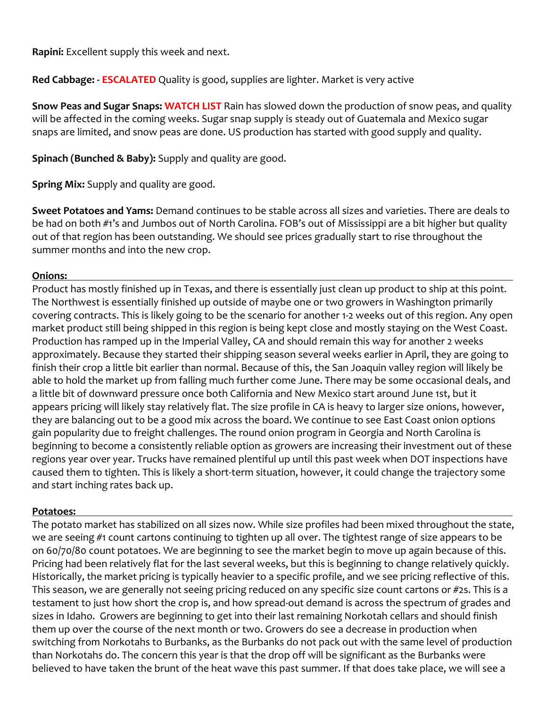**Rapini:** Excellent supply this week and next.

**Red Cabbage: - ESCALATED** Quality is good, supplies are lighter. Market is very active

**Snow Peas and Sugar Snaps: WATCH LIST** Rain has slowed down the production of snow peas, and quality will be affected in the coming weeks. Sugar snap supply is steady out of Guatemala and Mexico sugar snaps are limited, and snow peas are done. US production has started with good supply and quality.

**Spinach (Bunched & Baby):** Supply and quality are good.

**Spring Mix:** Supply and quality are good.

**Sweet Potatoes and Yams:** Demand continues to be stable across all sizes and varieties. There are deals to be had on both #1's and Jumbos out of North Carolina. FOB's out of Mississippi are a bit higher but quality out of that region has been outstanding. We should see prices gradually start to rise throughout the summer months and into the new crop.

### **Onions:**

Product has mostly finished up in Texas, and there is essentially just clean up product to ship at this point. The Northwest is essentially finished up outside of maybe one or two growers in Washington primarily covering contracts. This is likely going to be the scenario for another 1-2 weeks out of this region. Any open market product still being shipped in this region is being kept close and mostly staying on the West Coast. Production has ramped up in the Imperial Valley, CA and should remain this way for another 2 weeks approximately. Because they started their shipping season several weeks earlier in April, they are going to finish their crop a little bit earlier than normal. Because of this, the San Joaquin valley region will likely be able to hold the market up from falling much further come June. There may be some occasional deals, and a little bit of downward pressure once both California and New Mexico start around June 1st, but it appears pricing will likely stay relatively flat. The size profile in CA is heavy to larger size onions, however, they are balancing out to be a good mix across the board. We continue to see East Coast onion options gain popularity due to freight challenges. The round onion program in Georgia and North Carolina is beginning to become a consistently reliable option as growers are increasing their investment out of these regions year over year. Trucks have remained plentiful up until this past week when DOT inspections have caused them to tighten. This is likely a short-term situation, however, it could change the trajectory some and start inching rates back up.

# **Potatoes:**

The potato market has stabilized on all sizes now. While size profiles had been mixed throughout the state, we are seeing #1 count cartons continuing to tighten up all over. The tightest range of size appears to be on 60/70/80 count potatoes. We are beginning to see the market begin to move up again because of this. Pricing had been relatively flat for the last several weeks, but this is beginning to change relatively quickly. Historically, the market pricing is typically heavier to a specific profile, and we see pricing reflective of this. This season, we are generally not seeing pricing reduced on any specific size count cartons or #2s. This is a testament to just how short the crop is, and how spread-out demand is across the spectrum of grades and sizes in Idaho. Growers are beginning to get into their last remaining Norkotah cellars and should finish them up over the course of the next month or two. Growers do see a decrease in production when switching from Norkotahs to Burbanks, as the Burbanks do not pack out with the same level of production than Norkotahs do. The concern this year is that the drop off will be significant as the Burbanks were believed to have taken the brunt of the heat wave this past summer. If that does take place, we will see a